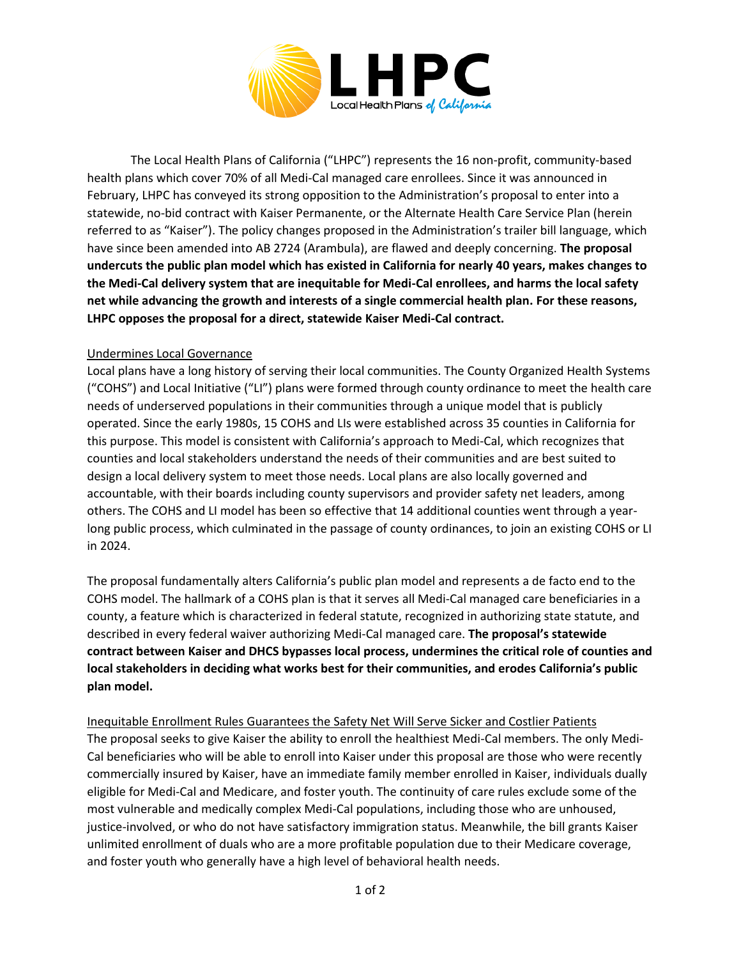

The Local Health Plans of California ("LHPC") represents the 16 non-profit, community-based health plans which cover 70% of all Medi-Cal managed care enrollees. Since it was announced in February, LHPC has conveyed its strong opposition to the Administration's proposal to enter into a statewide, no-bid contract with Kaiser Permanente, or the Alternate Health Care Service Plan (herein referred to as "Kaiser"). The policy changes proposed in the Administration's trailer bill language, which have since been amended into AB 2724 (Arambula), are flawed and deeply concerning. **The proposal undercuts the public plan model which has existed in California for nearly 40 years, makes changes to the Medi-Cal delivery system that are inequitable for Medi-Cal enrollees, and harms the local safety net while advancing the growth and interests of a single commercial health plan. For these reasons, LHPC opposes the proposal for a direct, statewide Kaiser Medi-Cal contract.**

## Undermines Local Governance

Local plans have a long history of serving their local communities. The County Organized Health Systems ("COHS") and Local Initiative ("LI") plans were formed through county ordinance to meet the health care needs of underserved populations in their communities through a unique model that is publicly operated. Since the early 1980s, 15 COHS and LIs were established across 35 counties in California for this purpose. This model is consistent with California's approach to Medi-Cal, which recognizes that counties and local stakeholders understand the needs of their communities and are best suited to design a local delivery system to meet those needs. Local plans are also locally governed and accountable, with their boards including county supervisors and provider safety net leaders, among others. The COHS and LI model has been so effective that 14 additional counties went through a yearlong public process, which culminated in the passage of county ordinances, to join an existing COHS or LI in 2024.

The proposal fundamentally alters California's public plan model and represents a de facto end to the COHS model. The hallmark of a COHS plan is that it serves all Medi-Cal managed care beneficiaries in a county, a feature which is characterized in federal statute, recognized in authorizing state statute, and described in every federal waiver authorizing Medi-Cal managed care. **The proposal's statewide contract between Kaiser and DHCS bypasses local process, undermines the critical role of counties and local stakeholders in deciding what works best for their communities, and erodes California's public plan model.**

Inequitable Enrollment Rules Guarantees the Safety Net Will Serve Sicker and Costlier Patients The proposal seeks to give Kaiser the ability to enroll the healthiest Medi-Cal members. The only Medi-Cal beneficiaries who will be able to enroll into Kaiser under this proposal are those who were recently commercially insured by Kaiser, have an immediate family member enrolled in Kaiser, individuals dually eligible for Medi-Cal and Medicare, and foster youth. The continuity of care rules exclude some of the most vulnerable and medically complex Medi-Cal populations, including those who are unhoused, justice-involved, or who do not have satisfactory immigration status. Meanwhile, the bill grants Kaiser unlimited enrollment of duals who are a more profitable population due to their Medicare coverage, and foster youth who generally have a high level of behavioral health needs.